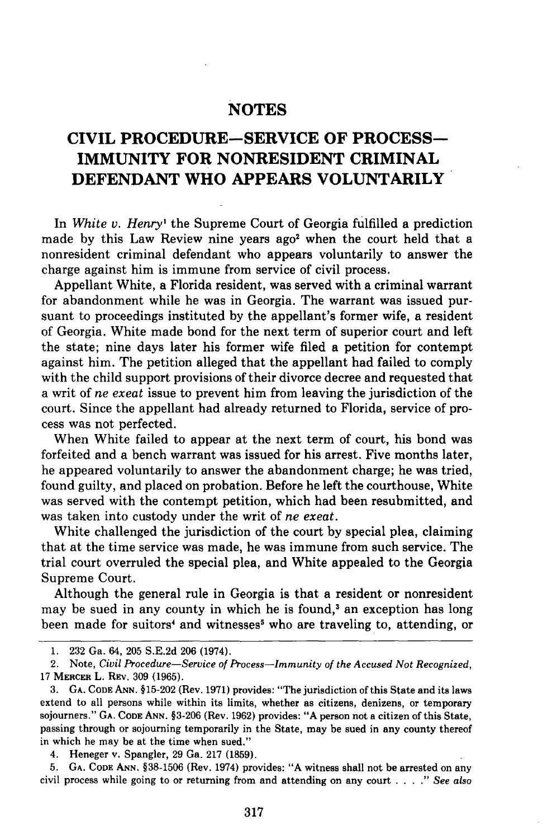## **NOTES**

## **CIVIL PROCEDURE-SERVICE OF PROCESS-IMMUNITY FOR NONRESIDENT CRIMINAL DEFENDANT WHO APPEARS VOLUNTARILY**

In *White v. Henry'* the Supreme Court of Georgia fulfilled a prediction made by this Law Review nine years ago<sup>2</sup> when the court held that a nonresident criminal defendant who appears voluntarily to answer the charge against him is immune from service of civil process.

Appellant White, a Florida resident, was served with a criminal warrant for abandonment while he was in Georgia. The warrant was issued pursuant to proceedings instituted **by** the appellant's former wife, a resident of Georgia. White made bond for the next term of superior court and left the state; nine days later his former wife filed a petition for contempt against him. The petition alleged that the appellant had failed to comply with the child support provisions of their divorce decree and requested that a writ of *ne exeat* issue to prevent him from leaving the jurisdiction of the court. Since the appellant had already returned to Florida, service of process was not perfected.

When White failed to appear at the next term of court, his bond was forfeited and a bench warrant was issued for his arrest. Five months later, he appeared voluntarily to answer the abandonment charge; he was tried, found guilty, and placed on probation. Before he left the courthouse, White was served with the contempt petition, which had been resubmitted, and was taken into custody under the writ of *ne exeat.*

White challenged the jurisdiction of the court **by** special plea, claiming that at the time service was made, he was immune from such service. The trial court overruled the special plea, and White appealed to the Georgia Supreme Court.

Although the general rule in Georgia is that a resident or nonresident may be sued in any county in which he is found,<sup>3</sup> an exception has long been made for suitors<sup>4</sup> and witnesses<sup>5</sup> who are traveling to, attending, or

**<sup>1. 232</sup>** Ga. 64, **205 S.E.2d 206** (1974).

<sup>2.</sup> Note, *Civil Procedure-Service of Process-Immunity of the Accused Not Recognized,* 17 MERCER L. REv. 309 (1965).

<sup>3.</sup> **GA.** CODE **ANN.** §15-202 (Rev. 1971) provides: "The jurisdiction of this State and its laws extend to all persons while within its limits, whether as citizens, denizens, or temporary sojourners." **GA. CODE ANN.** §3-206 (Rev. 1962) provides: **"A** person not a citizen of this State, passing through or sojourning temporarily in the State, may be sued in any county thereof in which he may be at the time when sued."

<sup>4.</sup> Heneger v. Spangler, 29 Ga. 217 (1859).

<sup>5.</sup> **GA. CODE ANN.** §38-1506 (Rev. 1974) provides: **"A** witness shall not be arrested on any civil process while going to or returning from and attending on any court *.... " See also*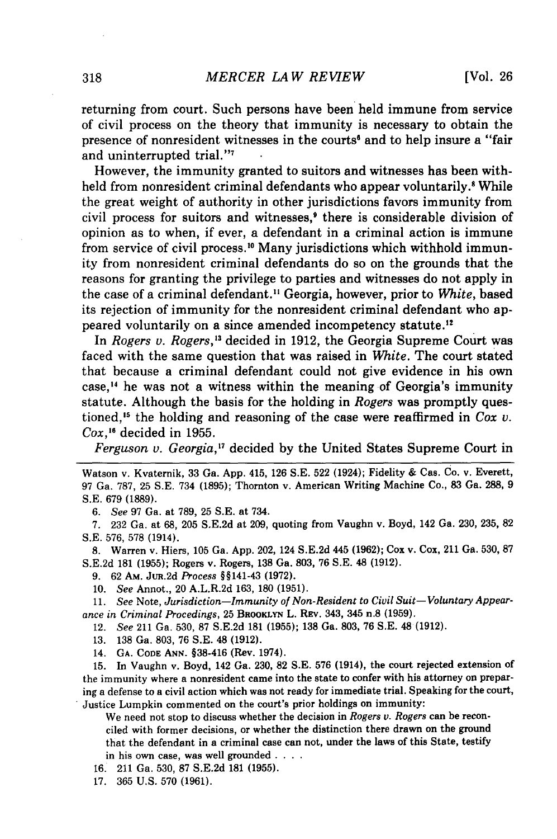returning from court. Such persons have been held immune from service of civil process on the theory that immunity is necessary to obtain the presence of nonresident witnesses in the courts' and to help insure a "fair and uninterrupted trial."7

However, the immunity granted to suitors and witnesses has been withheld from nonresident criminal defendants who appear voluntarily.' While the great weight of authority in other jurisdictions favors immunity from civil process for suitors and witnesses,<sup>9</sup> there is considerable division of opinion as to when, if ever, a defendant in a criminal action is immune from service of civil process.<sup>10</sup> Many jurisdictions which withhold immunity from nonresident criminal defendants do so on the grounds that the reasons for granting the privilege to parties and witnesses do not apply in the case of a criminal defendant.I Georgia, however, prior to *White,* based its rejection of immunity for the nonresident criminal defendant who appeared voluntarily on a since amended incompetency statute.<sup>12</sup>

In *Rogers v. Rogers*,<sup>13</sup> decided in 1912, the Georgia Supreme Court was faced with the same question that was raised in *White.* The court stated that because a criminal defendant could not give evidence in his own case,<sup>14</sup> he was not a witness within the meaning of Georgia's immunity statute. Although the basis for the holding in *Rogers* was promptly questioned,'5 the holding and reasoning of the case were reaffirmed in *Cox v. Cox,'"* decided in 1955.

*Ferguson v. Georgia*,<sup>17</sup> decided by the United States Supreme Court in

*6. See* 97 Ga. at 789, 25 S.E. at 734.

7. 232 Ga. at 68, 205 S.E.2d at 209, quoting from Vaughn v. Boyd, 142 Ga. 230, 235, 82 **S.E.** 576, 578 (1914).

8. Warren v. Hiers, 105 Ga. App. 202, 124 S.E.2d 445 (1962); Cox v. Cox, 211 Ga. 530, 87 S.E.2d 181 (1955); Rogers v. Rogers, 138 Ga. 803, 76 S.E. 48 (1912).

9. 62 AM. JuR.2d *Process* §§141-43 (1972).

10. *See* Annot., 20 A.L.R.2d 163, 180 (1951).

11. *See* Note, *Jurisdiction-Immunity of Non-Resident to Civil Suit-Voluntary Appearance in Criminal Procedings,* 25 BROOKLYN L. REV. 343, 345 n.8 (1959).

- 12. *See* 211 Ga. 530, 87 S.E.2d 181 (1955); 138 Ga. 803, 76 S.E. 48 (1912).
- 13. 138 Ga. 803, 76 S.E. 48 (1912).
- 14. **GA. CODE ANN.** §38-416 (Rev. 1974).

15. In Vaughn v. Boyd, 142 Ga. 230, 82 S.E. 576 (1914), the court rejected extension of the immunity where a nonresident came into the state to confer with his attorney on preparing a defense to a civil action which was not ready for immediate trial. Speaking for the court, Justice Lumpkin commented on the court's prior holdings on immunity:

We need not stop to discuss whether the decision in *Rogers v. Rogers* can be reconciled with former decisions, or whether the distinction there drawn on the ground that the defendant in a criminal case can not, under the laws of this State, testify in his own case, was well grounded . **. ..**

- 16. 211 Ga. 530, 87 S.E.2d 181 (1955).
- 17. 365 U.S. 570 (1961).

Watson v. Kvaternik, 33 Ga. App. 415, 126 S.E. 522 (1924); Fidelity & Cas. Co. v. Everett, 97 Ga. 787, 25 S.E. 734 (1895); Thornton v. American Writing Machine Co., 83 Ga. 288, 9 S.E. **679** (1889).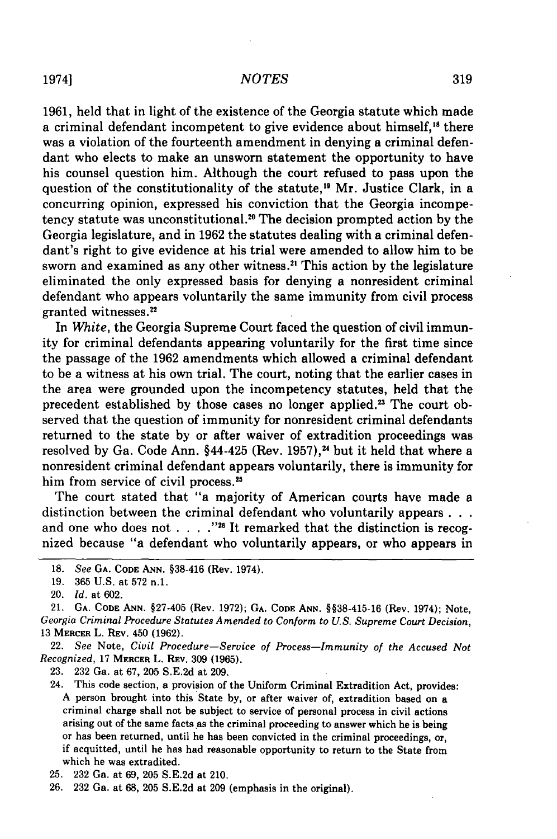## *NOTES*

1961, held that in light of the existence of the Georgia statute which made a criminal defendant incompetent to give evidence about himself,<sup>18</sup> there was a violation of the fourteenth amendment in denying a criminal defendant who elects to make an unsworn statement the opportunity to have his counsel question him. Although the court refused to pass upon the question of the constitutionality of the statute,<sup>19</sup> Mr. Justice Clark, in a concurring opinion, expressed his conviction that the Georgia incompetency statute was unconstitutional.<sup>20</sup> The decision prompted action by the Georgia legislature, and in 1962 the statutes dealing with a criminal defendant's right to give evidence at his trial were amended to allow him to be sworn and examined as any other witness.<sup>21</sup> This action by the legislature eliminated the only expressed basis for denying a nonresident criminal defendant who appears voluntarily the same immunity from civil process granted witnesses.<sup>22</sup>

In *White,* the Georgia Supreme Court faced the question of civil immunity for criminal defendants appearing voluntarily for the first time since the passage of the 1962 amendments which allowed a criminal defendant to be a witness at his own trial. The court, noting that the earlier cases in the area were grounded upon the incompetency statutes, held that the precedent established by those cases no longer applied.<sup>23</sup> The court observed that the question of immunity for nonresident criminal defendants returned to the state by or after waiver of extradition proceedings was resolved by Ga. Code Ann.  $§44-425$  (Rev. 1957),<sup>24</sup> but it held that where a nonresident criminal defendant appears voluntarily, there is immunity for him from service of civil process.<sup>25</sup>

The court stated that "a majority of American courts have made a distinction between the criminal defendant who voluntarily appears **. . .** and one who does not . . . . "<sup>26</sup> It remarked that the distinction is recognized because "a defendant who voluntarily appears, or who appears in

22. See Note, Civil Procedure-Service of Process-Immunity of the Accused Not Recognized, **17 MERCER** L. REV. **309 (1965).**

**23. 232** Ga. at **67, 205 S.E.2d** at **209.**

24. This code section, a provision of the Uniform Criminal Extradition Act, provides: **A** person brought into this State **by,** or after waiver of, extradition based on a criminal charge shall not be subject to service of personal process in civil actions arising out of the same facts as the criminal proceeding to answer which he is being or has been returned, until he has been convicted in the criminal proceedings, or, if acquitted, until he has had reasonable opportunity to return to the State from which he was extradited.

1974]

**<sup>18.</sup>** See **GA. CODE ANN.** §38-416 (Rev. 1974).

**<sup>19. 365</sup> U.S.** at **572** n.1.

<sup>20.</sup> **Id.** at **602.**

<sup>21.</sup> **GA. CODE ANN. §27-405** (Rev. **1972); GA. CODE ANN. §§38-415-16** (Rev. 1974); Note, Georgia Criminal Procedure Statutes Amended to Conform to **U.S.** Supreme *Court* Decision, **<sup>13</sup>MERCER L. REV. 450 (1962).**

**<sup>25. 232</sup>** Ga. at **69, 205 S.E.2d** at 210.

**<sup>26. 232</sup>** Ga. at **68, 205 S.E.2d** at **209** (emphasis in the original).